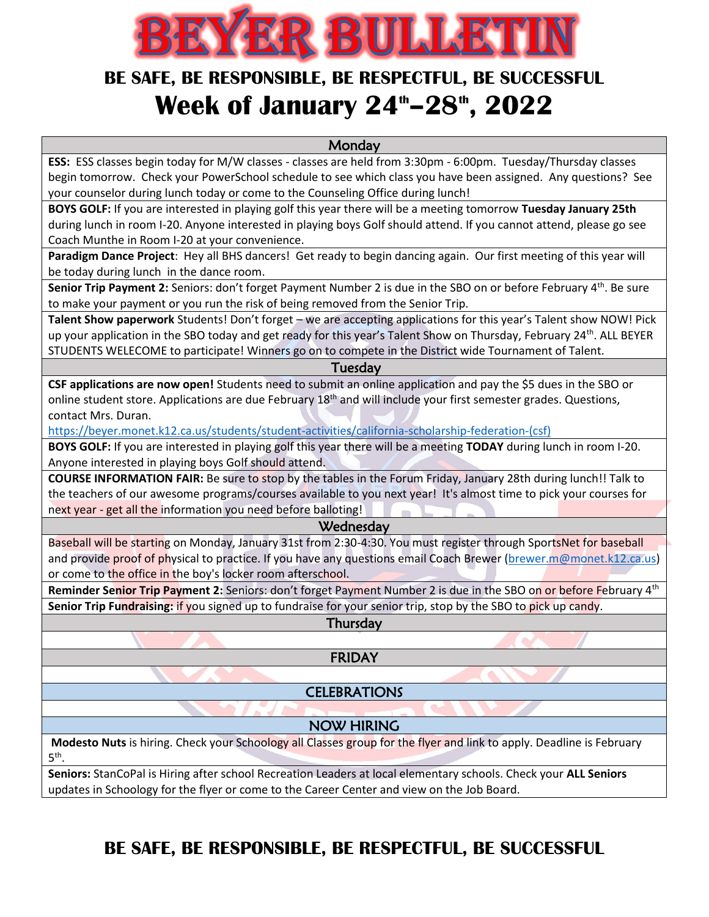

## **BE SAFE, BE RESPONSIBLE, BE RESPECTFUL, BE SUCCESSFUL Week of January 24th–28th, 2022**

**Monday** 

**ESS:** ESS classes begin today for M/W classes - classes are held from 3:30pm - 6:00pm. Tuesday/Thursday classes begin tomorrow. Check your PowerSchool schedule to see which class you have been assigned. Any questions? See your counselor during lunch today or come to the Counseling Office during lunch!

**BOYS GOLF:** If you are interested in playing golf this year there will be a meeting tomorrow **Tuesday January 25th** during lunch in room I-20. Anyone interested in playing boys Golf should attend. If you cannot attend, please go see Coach Munthe in Room I-20 at your convenience.

**Paradigm Dance Project**: Hey all BHS dancers! Get ready to begin dancing again. Our first meeting of this year will be today during lunch in the dance room.

Senior Trip Payment 2: Seniors: don't forget Payment Number 2 is due in the SBO on or before February 4<sup>th</sup>. Be sure to make your payment or you run the risk of being removed from the Senior Trip.

**Talent Show paperwork** Students! Don't forget – we are accepting applications for this year's Talent show NOW! Pick up your application in the SBO today and get ready for this year's Talent Show on Thursday, February 24<sup>th</sup>. ALL BEYER STUDENTS WELECOME to participate! Winners go on to compete in the District wide Tournament of Talent.

#### Tuesday

**CSF applications are now open!** Students need to submit an online application and pay the \$5 dues in the SBO or online student store. Applications are due February 18<sup>th</sup> and will include your first semester grades. Questions, contact Mrs. Duran.

[https://beyer.monet.k12.ca.us/students/student-activities/california-scholarship-federation-\(csf\)](https://beyer.monet.k12.ca.us/students/student-activities/california-scholarship-federation-(csf))

**BOYS GOLF:** If you are interested in playing golf this year there will be a meeting **TODAY** during lunch in room I-20. Anyone interested in playing boys Golf should attend.

**COURSE INFORMATION FAIR:** Be sure to stop by the tables in the Forum Friday, January 28th during lunch!! Talk to the teachers of our awesome programs/courses available to you next year! It's almost time to pick your courses for next year - get all the information you need before balloting!

#### **Wednesday**

Baseball will be starting on Monday, January 31st from 2:30-4:30. You must register through SportsNet for baseball and provide proof of physical to practice. If you have any questions email Coach Brewer [\(brewer.m@monet.k12.ca.us\)](mailto:brewer.m@monet.k12.ca.us) or come to the office in the boy's locker room afterschool.

Reminder Senior Trip Payment 2: Seniors: don't forget Payment Number 2 is due in the SBO on or before February 4<sup>th</sup> **Senior Trip Fundraising:** if you signed up to fundraise for your senior trip, stop by the SBO to pick up candy.

#### **Thursday**

FRIDAY

CELEBRATIONS

### NOW HIRING

**Modesto Nuts** is hiring. Check your Schoology all Classes group for the flyer and link to apply. Deadline is February 5 th .

**Seniors:** StanCoPal is Hiring after school Recreation Leaders at local elementary schools. Check your **ALL Seniors** updates in Schoology for the flyer or come to the Career Center and view on the Job Board.

### **BE SAFE, BE RESPONSIBLE, BE RESPECTFUL, BE SUCCESSFUL**